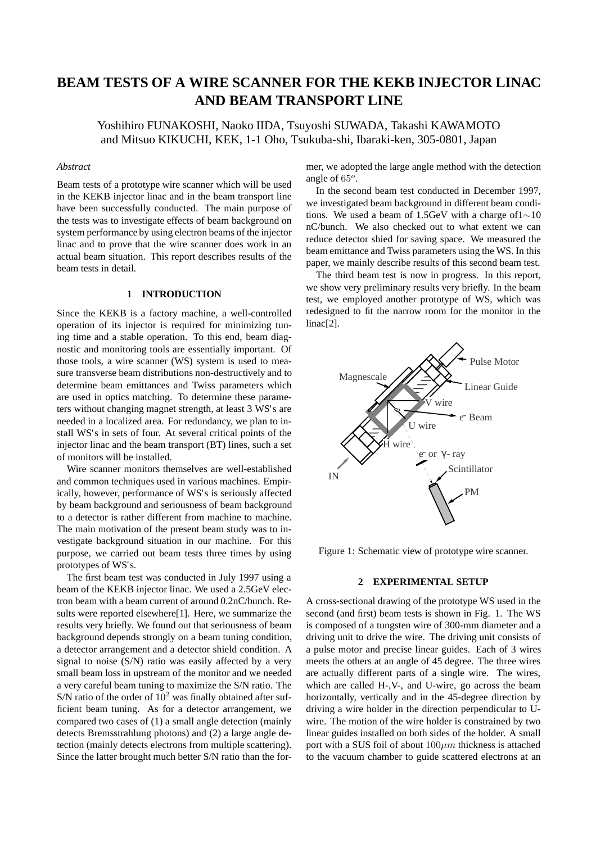# **BEAM TESTS OF A WIRE SCANNER FOR THE KEKB INJECTOR LINAC AND BEAM TRANSPORT LINE**

Yoshihiro FUNAKOSHI, Naoko IIDA, Tsuyoshi SUWADA, Takashi KAWAMOTO and Mitsuo KIKUCHI, KEK, 1-1 Oho, Tsukuba-shi, Ibaraki-ken, 305-0801, Japan

### *Abstract*

Beam tests of a prototype wire scanner which will be used in the KEKB injector linac and in the beam transport line have been successfully conducted. The main purpose of the tests was to investigate effects of beam background on system performance by using electron beams of the injector linac and to prove that the wire scanner does work in an actual beam situation. This report describes results of the beam tests in detail.

### **1 INTRODUCTION**

Since the KEKB is a factory machine, a well-controlled operation of its injector is required for minimizing tuning time and a stable operation. To this end, beam diagnostic and monitoring tools are essentially important. Of those tools, a wire scanner (WS) system is used to measure transverse beam distributions non-destructively and to determine beam emittances and Twiss parameters which are used in optics matching. To determine these parameters without changing magnet strength, at least 3 WS's are needed in a localized area. For redundancy, we plan to install WS's in sets of four. At several critical points of the injector linac and the beam transport (BT) lines, such a set of monitors will be installed.

Wire scanner monitors themselves are well-established and common techniques used in various machines. Empirically, however, performance of WS's is seriously affected by beam background and seriousness of beam background to a detector is rather different from machine to machine. The main motivation of the present beam study was to investigate background situation in our machine. For this purpose, we carried out beam tests three times by using prototypes of WS's.

The first beam test was conducted in July 1997 using a beam of the KEKB injector linac. We used a 2.5GeV electron beam with a beam current of around 0.2nC/bunch. Results were reported elsewhere[1]. Here, we summarize the results very briefly. We found out that seriousness of beam background depends strongly on a beam tuning condition, a detector arrangement and a detector shield condition. A signal to noise (S/N) ratio was easily affected by a very small beam loss in upstream of the monitor and we needed a very careful beam tuning to maximize the S/N ratio. The S/N ratio of the order of  $10^2$  was finally obtained after sufficient beam tuning. As for a detector arrangement, we compared two cases of (1) a small angle detection (mainly detects Bremsstrahlung photons) and (2) a large angle detection (mainly detects electrons from multiple scattering). Since the latter brought much better S/N ratio than the former, we adopted the large angle method with the detection angle of  $65^o$ .

In the second beam test conducted in December 1997, we investigated beam background in different beam conditions. We used a beam of 1.5GeV with a charge of1∼10 nC/bunch. We also checked out to what extent we can reduce detector shied for saving space. We measured the beam emittance and Twiss parameters using the WS. In this paper, we mainly describe results of this second beam test.

The third beam test is now in progress. In this report, we show very preliminary results very briefly. In the beam test, we employed another prototype of WS, which was redesigned to fit the narrow room for the monitor in the linac<sup>[2]</sup>.



Figure 1: Schematic view of prototype wire scanner.

#### **2 EXPERIMENTAL SETUP**

A cross-sectional drawing of the prototype WS used in the second (and first) beam tests is shown in Fig. 1. The WS is composed of a tungsten wire of 300-mm diameter and a driving unit to drive the wire. The driving unit consists of a pulse motor and precise linear guides. Each of 3 wires meets the others at an angle of 45 degree. The three wires are actually different parts of a single wire. The wires, which are called H-,V-, and U-wire, go across the beam horizontally, vertically and in the 45-degree direction by driving a wire holder in the direction perpendicular to Uwire. The motion of the wire holder is constrained by two linear guides installed on both sides of the holder. A small port with a SUS foil of about  $100 \mu m$  thickness is attached to the vacuum chamber to guide scattered electrons at an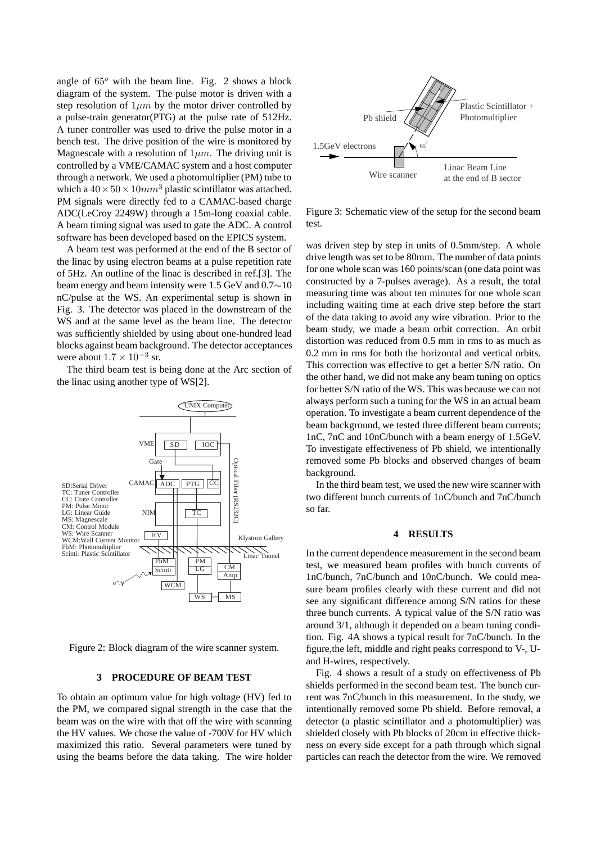angle of  $65^\circ$  with the beam line. Fig. 2 shows a block diagram of the system. The pulse motor is driven with a step resolution of  $1\mu m$  by the motor driver controlled by a pulse-train generator(PTG) at the pulse rate of 512Hz. A tuner controller was used to drive the pulse motor in a bench test. The drive position of the wire is monitored by Magnescale with a resolution of  $1\mu m$ . The driving unit is controlled by a VME/CAMAC system and a host computer through a network. We used a photomultiplier (PM) tube to which a  $40 \times 50 \times 10 mm^3$  plastic scintillator was attached. PM signals were directly fed to a CAMAC-based charge ADC(LeCroy 2249W) through a 15m-long coaxial cable. A beam timing signal was used to gate the ADC. A control software has been developed based on the EPICS system.

A beam test was performed at the end of the B sector of the linac by using electron beams at a pulse repetition rate of 5Hz. An outline of the linac is described in ref.[3]. The beam energy and beam intensity were 1.5 GeV and 0.7∼10 nC/pulse at the WS. An experimental setup is shown in Fig. 3. The detector was placed in the downstream of the WS and at the same level as the beam line. The detector was sufficiently shielded by using about one-hundred lead blocks against beam background. The detector acceptances were about  $1.7 \times 10^{-3}$  sr.

The third beam test is being done at the Arc section of the linac using another type of WS[2].





#### **3 PROCEDURE OF BEAM TEST**

To obtain an optimum value for high voltage (HV) fed to the PM, we compared signal strength in the case that the beam was on the wire with that off the wire with scanning the HV values. We chose the value of -700V for HV which maximized this ratio. Several parameters were tuned by using the beams before the data taking. The wire holder



Figure 3: Schematic view of the setup for the second beam test.

was driven step by step in units of 0.5mm/step. A whole drive length was set to be 80mm. The number of data points for one whole scan was 160 points/scan (one data point was constructed by a 7-pulses average). As a result, the total measuring time was about ten minutes for one whole scan including waiting time at each drive step before the start of the data taking to avoid any wire vibration. Prior to the beam study, we made a beam orbit correction. An orbit distortion was reduced from 0.5 mm in rms to as much as 0.2 mm in rms for both the horizontal and vertical orbits. This correction was effective to get a better S/N ratio. On the other hand, we did not make any beam tuning on optics for better S/N ratio of the WS. This was because we can not always perform such a tuning for the WS in an actual beam operation. To investigate a beam current dependence of the beam background, we tested three different beam currents; 1nC, 7nC and 10nC/bunch with a beam energy of 1.5GeV. To investigate effectiveness of Pb shield, we intentionally removed some Pb blocks and observed changes of beam background.

In the third beam test, we used the new wire scanner with two different bunch currents of 1nC/bunch and 7nC/bunch so far.

#### **4 RESULTS**

In the current dependence measurement in the second beam test, we measured beam profiles with bunch currents of 1nC/bunch, 7nC/bunch and 10nC/bunch. We could measure beam profiles clearly with these current and did not see any significant difference among S/N ratios for these three bunch currents. A typical value of the S/N ratio was around 3/1, although it depended on a beam tuning condition. Fig. 4A shows a typical result for 7nC/bunch. In the figure,the left, middle and right peaks correspond to V-, Uand H-wires, respectively.

Fig. 4 shows a result of a study on effectiveness of Pb shields performed in the second beam test. The bunch current was 7nC/bunch in this measurement. In the study, we intentionally removed some Pb shield. Before removal, a detector (a plastic scintillator and a photomultiplier) was shielded closely with Pb blocks of 20cm in effective thickness on every side except for a path through which signal particles can reach the detector from the wire. We removed